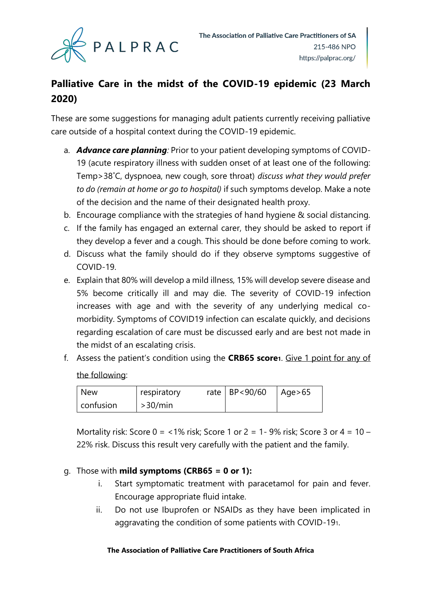

# **Palliative Care in the midst of the COVID-19 epidemic (23 March 2020)**

These are some suggestions for managing adult patients currently receiving palliative care outside of a hospital context during the COVID-19 epidemic.

- a. *Advance care planning:* Prior to your patient developing symptoms of COVID-19 (acute respiratory illness with sudden onset of at least one of the following: Temp>38˚C, dyspnoea, new cough, sore throat) *discuss what they would prefer to do (remain at home or go to hospital)* if such symptoms develop. Make a note of the decision and the name of their designated health proxy.
- b. Encourage compliance with the strategies of hand hygiene & social distancing.
- c. If the family has engaged an external carer, they should be asked to report if they develop a fever and a cough. This should be done before coming to work.
- d. Discuss what the family should do if they observe symptoms suggestive of COVID-19.
- e. Explain that 80% will develop a mild illness, 15% will develop severe disease and 5% become critically ill and may die. The severity of COVID-19 infection increases with age and with the severity of any underlying medical comorbidity. Symptoms of COVID19 infection can escalate quickly, and decisions regarding escalation of care must be discussed early and are best not made in the midst of an escalating crisis.
- f. Assess the patient's condition using the **CRB65 score1**. Give 1 point for any of the following:

| <b>New</b> | respiratory | rate   $BP < 90/60$ | l Age>65 |
|------------|-------------|---------------------|----------|
| confusion  | >30/min     |                     |          |

Mortality risk: Score  $0 = 1\%$  risk; Score 1 or  $2 = 1$ - 9% risk; Score 3 or  $4 = 10$  – 22% risk. Discuss this result very carefully with the patient and the family.

## g. Those with **mild symptoms (CRB65 = 0 or 1):**

- i. Start symptomatic treatment with paracetamol for pain and fever. Encourage appropriate fluid intake.
- ii. Do not use Ibuprofen or NSAIDs as they have been implicated in aggravating the condition of some patients with COVID-191.

#### **The Association of Palliative Care Practitioners of South Africa**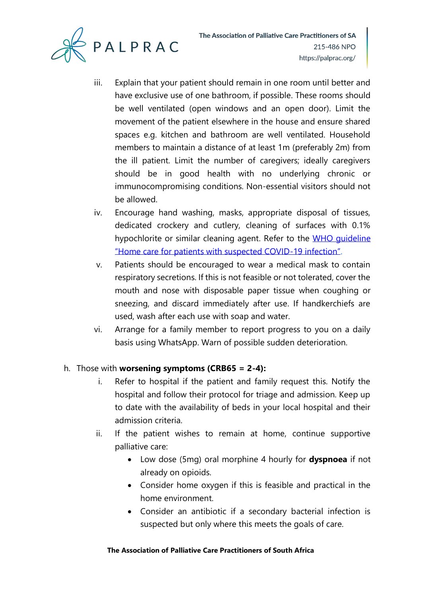

- iii. Explain that your patient should remain in one room until better and have exclusive use of one bathroom, if possible. These rooms should be well ventilated (open windows and an open door). Limit the movement of the patient elsewhere in the house and ensure shared spaces e.g. kitchen and bathroom are well ventilated. Household members to maintain a distance of at least 1m (preferably 2m) from the ill patient. Limit the number of caregivers; ideally caregivers should be in good health with no underlying chronic or immunocompromising conditions. Non-essential visitors should not be allowed.
- iv. Encourage hand washing, masks, appropriate disposal of tissues, dedicated crockery and cutlery, cleaning of surfaces with 0.1% hypochlorite or similar cleaning agent. Refer to the WHO quideline ["Home care for patients with suspected COVID](https://apps.who.int/iris/handle/10665/331133)-19 infection".
- v. Patients should be encouraged to wear a medical mask to contain respiratory secretions. If this is not feasible or not tolerated, cover the mouth and nose with disposable paper tissue when coughing or sneezing, and discard immediately after use. If handkerchiefs are used, wash after each use with soap and water.
- vi. Arrange for a family member to report progress to you on a daily basis using WhatsApp. Warn of possible sudden deterioration.

## h. Those with **worsening symptoms (CRB65 = 2-4):**

- i. Refer to hospital if the patient and family request this. Notify the hospital and follow their protocol for triage and admission. Keep up to date with the availability of beds in your local hospital and their admission criteria.
- ii. If the patient wishes to remain at home, continue supportive palliative care:
	- Low dose (5mg) oral morphine 4 hourly for **dyspnoea** if not already on opioids.
	- Consider home oxygen if this is feasible and practical in the home environment.
	- Consider an antibiotic if a secondary bacterial infection is suspected but only where this meets the goals of care.

#### **The Association of Palliative Care Practitioners of South Africa**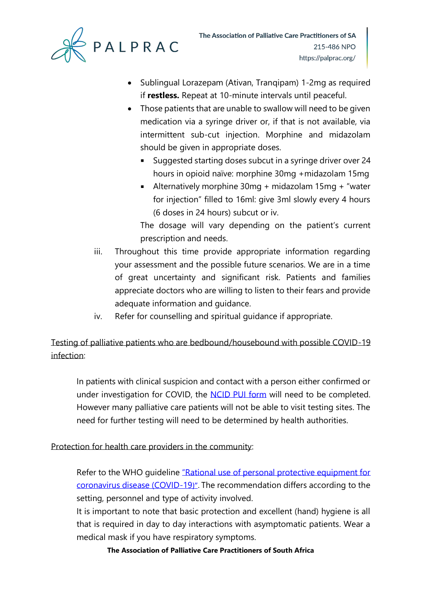

- Sublingual Lorazepam (Ativan, Tranqipam) 1-2mg as required if **restless.** Repeat at 10-minute intervals until peaceful.
- Those patients that are unable to swallow will need to be given medication via a syringe driver or, if that is not available, via intermittent sub-cut injection. Morphine and midazolam should be given in appropriate doses.
	- Suggested starting doses subcut in a syringe driver over 24 hours in opioid naïve: morphine 30mg +midazolam 15mg
	- Alternatively morphine 30mg + midazolam 15mg + "water for injection" filled to 16ml: give 3ml slowly every 4 hours (6 doses in 24 hours) subcut or iv.

The dosage will vary depending on the patient's current prescription and needs.

- iii. Throughout this time provide appropriate information regarding your assessment and the possible future scenarios. We are in a time of great uncertainty and significant risk. Patients and families appreciate doctors who are willing to listen to their fears and provide adequate information and guidance.
- iv. Refer for counselling and spiritual guidance if appropriate.

Testing of palliative patients who are bedbound/housebound with possible COVID-19 infection:

In patients with clinical suspicion and contact with a person either confirmed or under investigation for COVID, the [NCID PUI form](http://www.nicd.ac.za/diseases-a-z-index/covid-19/covid-19-resources/) will need to be completed. However many palliative care patients will not be able to visit testing sites. The need for further testing will need to be determined by health authorities.

Protection for health care providers in the community:

Refer to the WHO guideline "Rational use of personal protective equipment for [coronavirus disease \(COVID-19](https://apps.who.int/iris/handle/10665/331498))". The recommendation differs according to the setting, personnel and type of activity involved.

It is important to note that basic protection and excellent (hand) hygiene is all that is required in day to day interactions with asymptomatic patients. Wear a medical mask if you have respiratory symptoms.

**The Association of Palliative Care Practitioners of South Africa**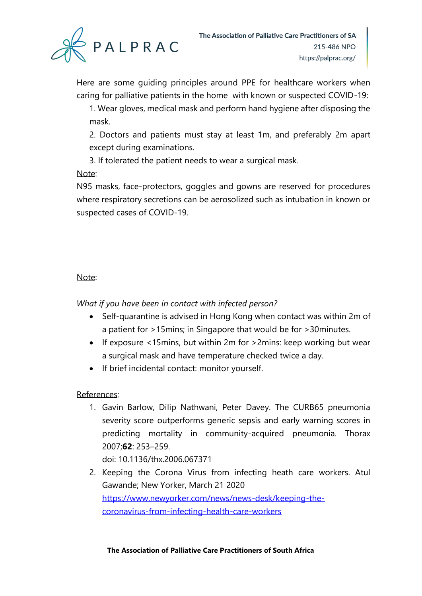

Here are some guiding principles around PPE for healthcare workers when caring for palliative patients in the home with known or suspected COVID-19:

1. Wear gloves, medical mask and perform hand hygiene after disposing the mask.

2. Doctors and patients must stay at least 1m, and preferably 2m apart except during examinations.

3. If tolerated the patient needs to wear a surgical mask.

## Note:

N95 masks, face-protectors, goggles and gowns are reserved for procedures where respiratory secretions can be aerosolized such as intubation in known or suspected cases of COVID-19.

## Note:

*What if you have been in contact with infected person?*

- Self-quarantine is advised in Hong Kong when contact was within 2m of a patient for >15mins; in Singapore that would be for >30minutes.
- If exposure <15mins, but within 2m for >2mins: keep working but wear a surgical mask and have temperature checked twice a day.
- If brief incidental contact: monitor yourself.

# References:

1. Gavin Barlow, Dilip Nathwani, Peter Davey. The CURB65 pneumonia severity score outperforms generic sepsis and early warning scores in predicting mortality in community-acquired pneumonia. Thorax 2007;**62**: 253–259.

doi: 10.1136/thx.2006.067371

2. Keeping the Corona Virus from infecting heath care workers. Atul Gawande; New Yorker, March 21 2020 [https://www.newyorker.com/news/news-desk/keeping-the](https://www.newyorker.com/news/news-desk/keeping-the-coronavirus-from-infecting-health-care-workers)[coronavirus-from-infecting-health-care-workers](https://www.newyorker.com/news/news-desk/keeping-the-coronavirus-from-infecting-health-care-workers)